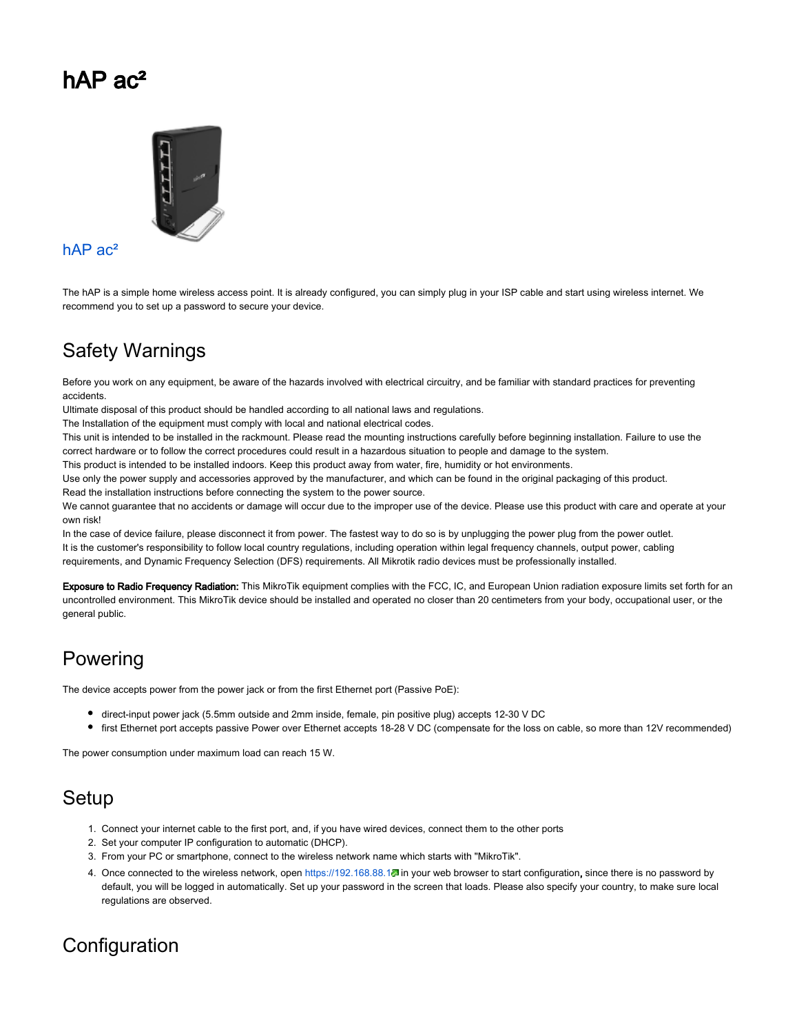# hAP ac<sup>2</sup>



#### [hAP ac²](https://mikrotik.com/product/hap_ac2)

The hAP is a simple home wireless access point. It is already configured, you can simply plug in your ISP cable and start using wireless internet. We recommend you to set up a password to secure your device.

## Safety Warnings

Before you work on any equipment, be aware of the hazards involved with electrical circuitry, and be familiar with standard practices for preventing accidents.

Ultimate disposal of this product should be handled according to all national laws and regulations.

The Installation of the equipment must comply with local and national electrical codes.

This unit is intended to be installed in the rackmount. Please read the mounting instructions carefully before beginning installation. Failure to use the correct hardware or to follow the correct procedures could result in a hazardous situation to people and damage to the system.

This product is intended to be installed indoors. Keep this product away from water, fire, humidity or hot environments.

Use only the power supply and accessories approved by the manufacturer, and which can be found in the original packaging of this product. Read the installation instructions before connecting the system to the power source.

We cannot guarantee that no accidents or damage will occur due to the improper use of the device. Please use this product with care and operate at your own risk!

In the case of device failure, please disconnect it from power. The fastest way to do so is by unplugging the power plug from the power outlet. It is the customer's responsibility to follow local country regulations, including operation within legal frequency channels, output power, cabling requirements, and Dynamic Frequency Selection (DFS) requirements. All Mikrotik radio devices must be professionally installed.

Exposure to Radio Frequency Radiation: This MikroTik equipment complies with the FCC, IC, and European Union radiation exposure limits set forth for an uncontrolled environment. This MikroTik device should be installed and operated no closer than 20 centimeters from your body, occupational user, or the general public.

## Powering

The device accepts power from the power jack or from the first Ethernet port (Passive PoE):

- direct-input power jack (5.5mm outside and 2mm inside, female, pin positive plug) accepts 12-30 V DC
- first Ethernet port accepts passive Power over Ethernet accepts 18-28 V DC (compensate for the loss on cable, so more than 12V recommended)

The power consumption under maximum load can reach 15 W.

## Setup

- 1. Connect your internet cable to the first port, and, if you have wired devices, connect them to the other ports
- 2. Set your computer IP configuration to automatic (DHCP).
- 3. From your PC or smartphone, connect to the wireless network name which starts with "MikroTik".
- 4. Once connected to the wireless network, open <https://192.168.88.1>. in your web browser to start configuration, since there is no password by default, you will be logged in automatically. Set up your password in the screen that loads. Please also specify your country, to make sure local regulations are observed.

## **Configuration**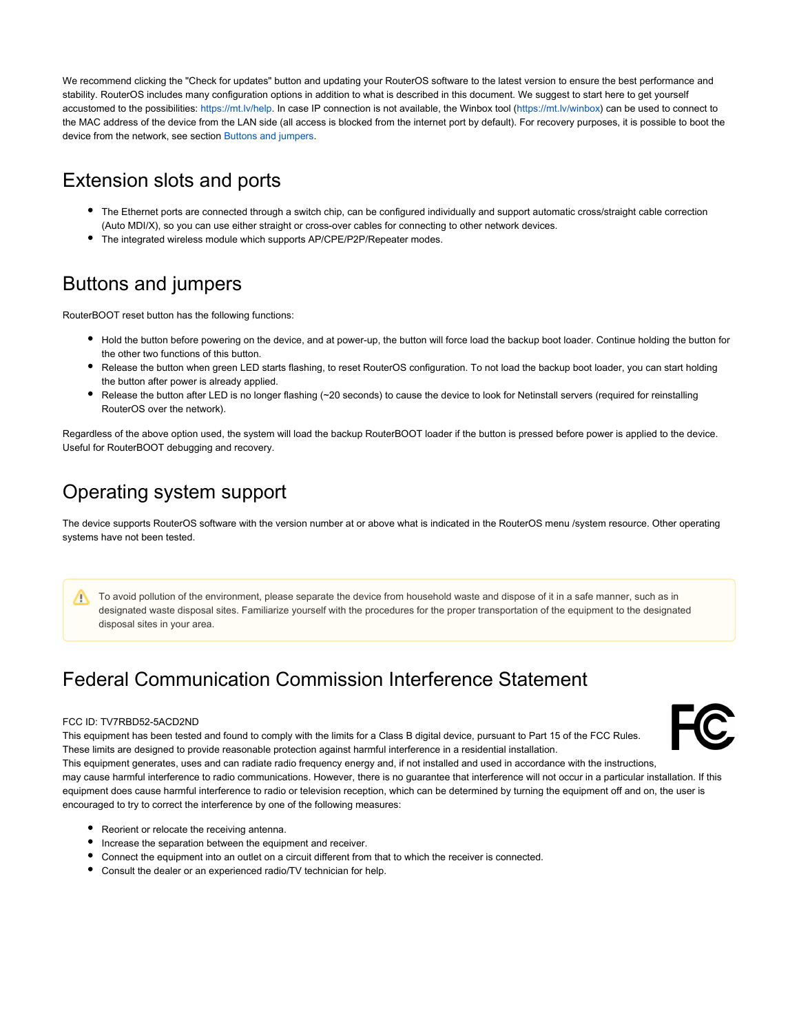We recommend clicking the "Check for updates" button and updating your RouterOS software to the latest version to ensure the best performance and stability. RouterOS includes many configuration options in addition to what is described in this document. We suggest to start here to get yourself accustomed to the possibilities: <https://mt.lv/help>. In case IP connection is not available, the Winbox tool [\(https://mt.lv/winbox\)](https://mt.lv/winbox) can be used to connect to the MAC address of the device from the LAN side (all access is blocked from the internet port by default). For recovery purposes, it is possible to boot the device from the network, see section [Buttons and jumpers.](#page-1-0)

#### Extension slots and ports

- The Ethernet ports are connected through a switch chip, can be configured individually and support automatic cross/straight cable correction (Auto MDI/X), so you can use either straight or cross-over cables for connecting to other network devices.
- The integrated wireless module which supports AP/CPE/P2P/Repeater modes.

## <span id="page-1-0"></span>Buttons and jumpers

RouterBOOT reset button has the following functions:

- Hold the button before powering on the device, and at power-up, the button will force load the backup boot loader. Continue holding the button for the other two functions of this button.
- Release the button when green LED starts flashing, to reset RouterOS configuration. To not load the backup boot loader, you can start holding the button after power is already applied.
- Release the button after LED is no longer flashing (~20 seconds) to cause the device to look for Netinstall servers (required for reinstalling RouterOS over the network).

Regardless of the above option used, the system will load the backup RouterBOOT loader if the button is pressed before power is applied to the device. Useful for RouterBOOT debugging and recovery.

## Operating system support

The device supports RouterOS software with the version number at or above what is indicated in the RouterOS menu /system resource. Other operating systems have not been tested.

To avoid pollution of the environment, please separate the device from household waste and dispose of it in a safe manner, such as in designated waste disposal sites. Familiarize yourself with the procedures for the proper transportation of the equipment to the designated disposal sites in your area.

## Federal Communication Commission Interference Statement

#### FCC ID: TV7RBD52-5ACD2ND

This equipment has been tested and found to comply with the limits for a Class B digital device, pursuant to Part 15 of the FCC Rules. These limits are designed to provide reasonable protection against harmful interference in a residential installation.

This equipment generates, uses and can radiate radio frequency energy and, if not installed and used in accordance with the instructions, may cause harmful interference to radio communications. However, there is no guarantee that interference will not occur in a particular installation. If this equipment does cause harmful interference to radio or television reception, which can be determined by turning the equipment off and on, the user is encouraged to try to correct the interference by one of the following measures:

- Reorient or relocate the receiving antenna.
- Increase the separation between the equipment and receiver.
- Connect the equipment into an outlet on a circuit different from that to which the receiver is connected.
- Consult the dealer or an experienced radio/TV technician for help.

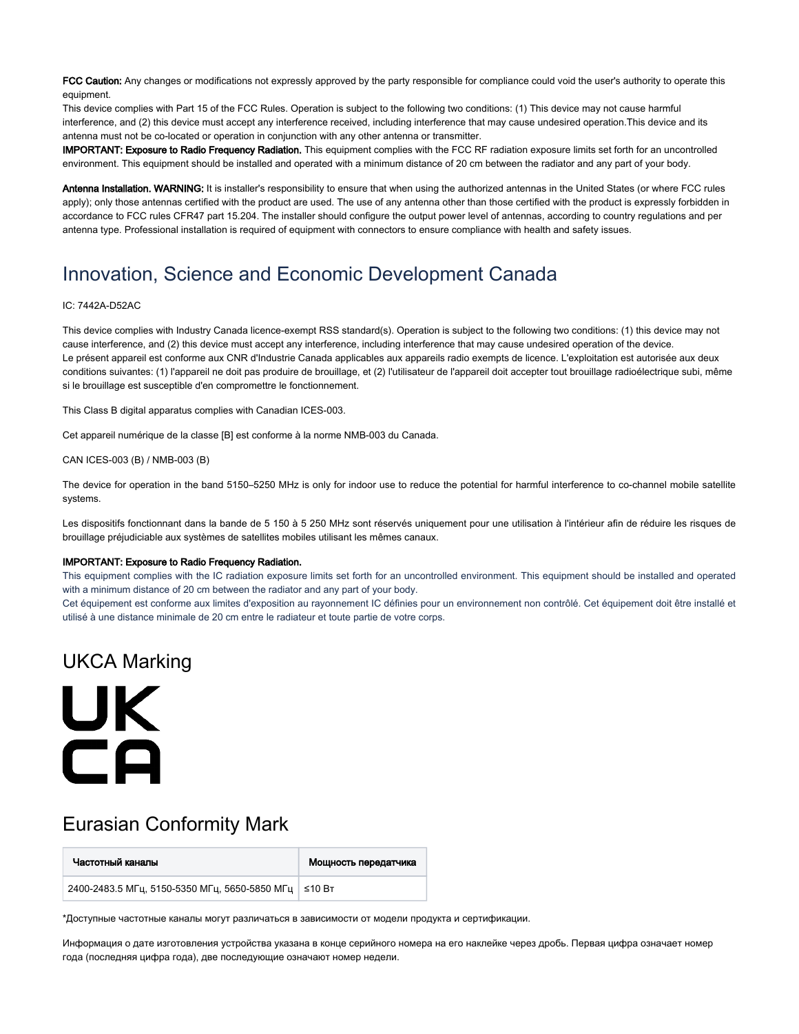FCC Caution: Any changes or modifications not expressly approved by the party responsible for compliance could void the user's authority to operate this equipment.

This device complies with Part 15 of the FCC Rules. Operation is subject to the following two conditions: (1) This device may not cause harmful interference, and (2) this device must accept any interference received, including interference that may cause undesired operation.This device and its antenna must not be co-located or operation in conjunction with any other antenna or transmitter.

IMPORTANT: Exposure to Radio Frequency Radiation. This equipment complies with the FCC RF radiation exposure limits set forth for an uncontrolled environment. This equipment should be installed and operated with a minimum distance of 20 cm between the radiator and any part of your body.

Antenna Installation. WARNING: It is installer's responsibility to ensure that when using the authorized antennas in the United States (or where FCC rules apply); only those antennas certified with the product are used. The use of any antenna other than those certified with the product is expressly forbidden in accordance to FCC rules CFR47 part 15.204. The installer should configure the output power level of antennas, according to country regulations and per antenna type. Professional installation is required of equipment with connectors to ensure compliance with health and safety issues.

#### Innovation, Science and Economic Development Canada

#### IC: 7442A-D52AC

This device complies with Industry Canada licence-exempt RSS standard(s). Operation is subject to the following two conditions: (1) this device may not cause interference, and (2) this device must accept any interference, including interference that may cause undesired operation of the device. Le présent appareil est conforme aux CNR d'Industrie Canada applicables aux appareils radio exempts de licence. L'exploitation est autorisée aux deux conditions suivantes: (1) l'appareil ne doit pas produire de brouillage, et (2) l'utilisateur de l'appareil doit accepter tout brouillage radioélectrique subi, même si le brouillage est susceptible d'en compromettre le fonctionnement.

This Class B digital apparatus complies with Canadian ICES-003.

Cet appareil numérique de la classe [B] est conforme à la norme NMB-003 du Canada.

CAN ICES-003 (B) / NMB-003 (B)

The device for operation in the band 5150–5250 MHz is only for indoor use to reduce the potential for harmful interference to co-channel mobile satellite systems.

Les dispositifs fonctionnant dans la bande de 5 150 à 5 250 MHz sont réservés uniquement pour une utilisation à l'intérieur afin de réduire les risques de brouillage préjudiciable aux systèmes de satellites mobiles utilisant les mêmes canaux.

#### IMPORTANT: Exposure to Radio Frequency Radiation.

This equipment complies with the IC radiation exposure limits set forth for an uncontrolled environment. This equipment should be installed and operated with a minimum distance of 20 cm between the radiator and any part of your body.

Cet équipement est conforme aux limites d'exposition au rayonnement IC définies pour un environnement non contrôlé. Cet équipement doit être installé et utilisé à une distance minimale de 20 cm entre le radiateur et toute partie de votre corps.

#### UKCA Marking

# UK CA

#### Eurasian Conformity Mark

| Частотный каналы                                       | Мощность передатчика |
|--------------------------------------------------------|----------------------|
| 2400-2483.5 МГц, 5150-5350 МГц, 5650-5850 МГц   ≤10 Вт |                      |

\*Доступные частотные каналы могут различаться в зависимости от модели продукта и сертификации.

Информация о дате изготовления устройства указана в конце серийного номера на его наклейке через дробь. Первая цифра означает номер года (последняя цифра года), две последующие означают номер недели.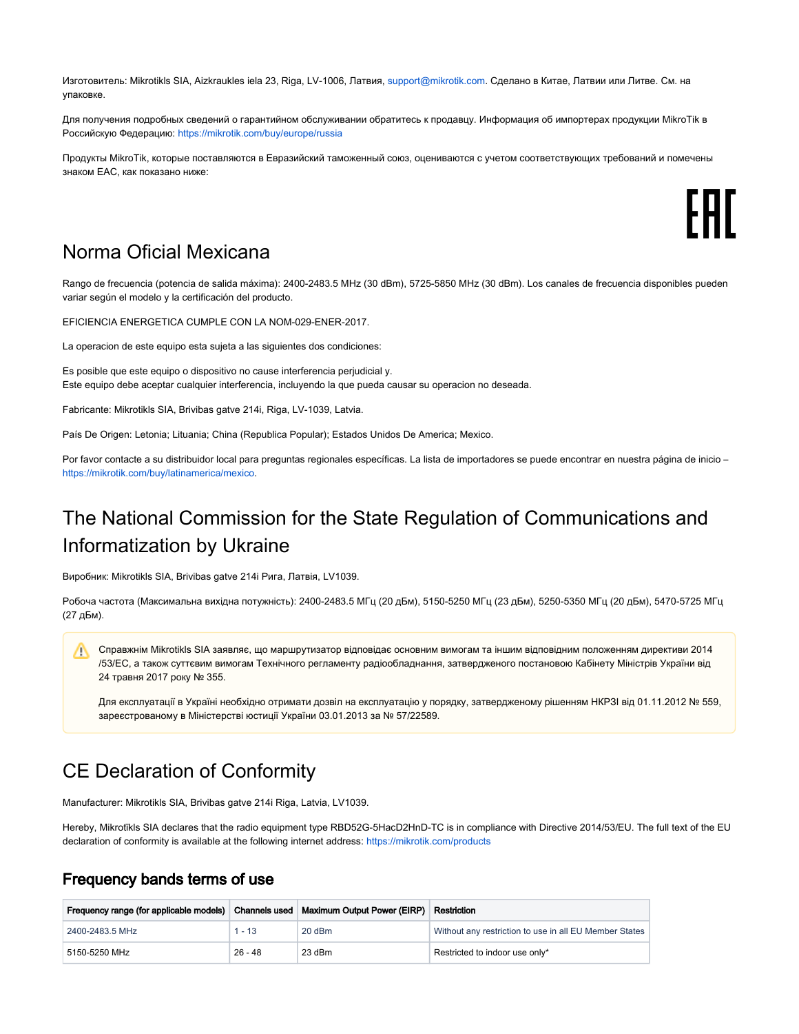Изготовитель: Mikrotikls SIA, Aizkraukles iela 23, Riga, LV-1006, Латвия, [support@mikrotik.com.](mailto:support@mikrotik.com) Сделано в Китае, Латвии или Литве. Cм. на упаковке.

Для получения подробных сведений о гарантийном обслуживании обратитесь к продавцу. Информация об импортерах продукции MikroTik в Российскую Федерацию:<https://mikrotik.com/buy/europe/russia>

Продукты MikroTik, которые поставляются в Евразийский таможенный союз, оцениваются с учетом соответствующих требований и помечены знаком EAC, как показано ниже:

#### Norma Oficial Mexicana

Rango de frecuencia (potencia de salida máxima): 2400-2483.5 MHz (30 dBm), 5725-5850 MHz (30 dBm). Los canales de frecuencia disponibles pueden variar según el modelo y la certificación del producto.

EFICIENCIA ENERGETICA CUMPLE CON LA NOM-029-ENER-2017.

La operacion de este equipo esta sujeta a las siguientes dos condiciones:

Es posible que este equipo o dispositivo no cause interferencia perjudicial y. Este equipo debe aceptar cualquier interferencia, incluyendo la que pueda causar su operacion no deseada.

Fabricante: Mikrotikls SIA, Brivibas gatve 214i, Riga, LV-1039, Latvia.

País De Origen: Letonia; Lituania; China (Republica Popular); Estados Unidos De America; Mexico.

Por favor contacte a su distribuidor local para preguntas regionales específicas. La lista de importadores se puede encontrar en nuestra página de inicio – <https://mikrotik.com/buy/latinamerica/mexico>.

## The National Commission for the State Regulation of Communications and Informatization by Ukraine

Виробник: Mikrotikls SIA, Brivibas gatve 214i Рига, Латвія, LV1039.

Робоча частота (Максимальна вихідна потужність): 2400-2483.5 МГц (20 дБм), 5150-5250 МГц (23 дБм), 5250-5350 МГц (20 дБм), 5470-5725 МГц (27 дБм).

Справжнім Mikrotikls SIA заявляє, що маршрутизатор відповідає основним вимогам та іншим відповідним положенням директиви 2014 /53/EC, а також суттєвим вимогам Технічного регламенту радіообладнання, затвердженого постановою Кабінету Міністрів України від 24 травня 2017 року № 355.

Для експлуатації в Україні необхідно отримати дозвіл на експлуатацію у порядку, затвердженому рішенням НКРЗІ від 01.11.2012 № 559, зареєстрованому в Міністерстві юстиції України 03.01.2013 за № 57/22589.

#### CE Declaration of Conformity

Manufacturer: Mikrotikls SIA, Brivibas gatve 214i Riga, Latvia, LV1039.

Hereby, Mikrotīkls SIA declares that the radio equipment type RBD52G-5HacD2HnD-TC is in compliance with Directive 2014/53/EU. The full text of the EU declaration of conformity is available at the following internet address: <https://mikrotik.com/products>

#### Frequency bands terms of use

| Frequency range (for applicable models)   Channels used   Maximum Output Power (EIRP) |           |          | Restriction                                            |
|---------------------------------------------------------------------------------------|-----------|----------|--------------------------------------------------------|
| 2400-2483.5 MHz                                                                       | $1 - 13$  | $20$ dBm | Without any restriction to use in all EU Member States |
| 5150-5250 MHz                                                                         | $26 - 48$ | 23 dBm   | Restricted to indoor use only*                         |